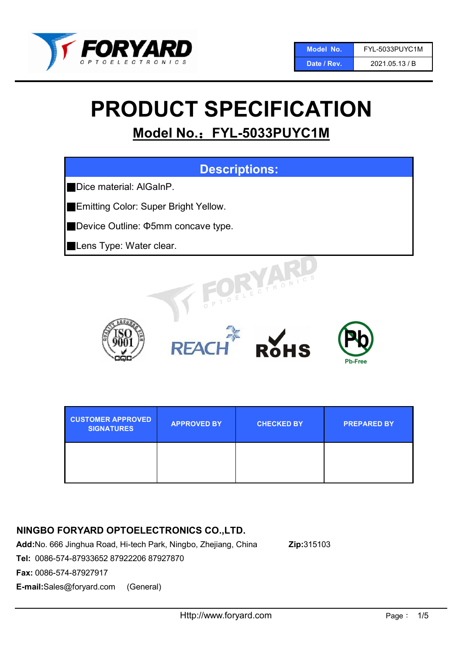

Date / Rev. 2021.05.13 / B

# PRODUCT SPECIFICATION

## Model No.: FYL-5033PUYC1M



| <b>CUSTOMER APPROVED</b><br><b>SIGNATURES</b> | <b>APPROVED BY</b> | <b>CHECKED BY</b> | <b>PREPARED BY</b> |
|-----------------------------------------------|--------------------|-------------------|--------------------|
|                                               |                    |                   |                    |

## NINGBO FORYARD OPTOELECTRONICS CO.,LTD.

Add:No. 666 Jinghua Road, Hi-tech Park, Ningbo, Zhejiang, China Zip:315103

Fax: 0086-574-87927917

E-mail:Sales@foryard.com (General)

Tel: 0086-574-87933652 87922206 87927870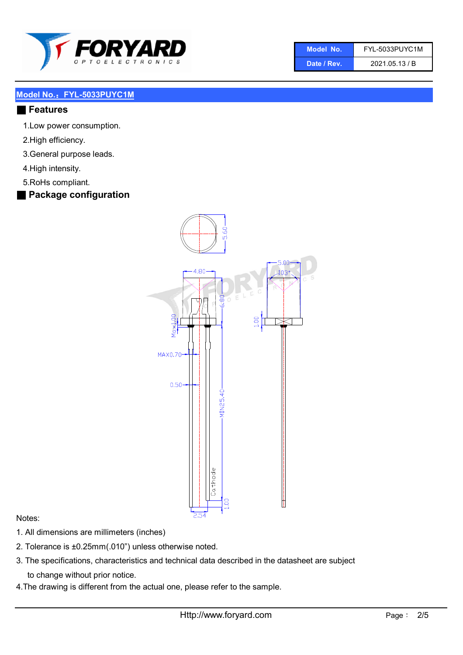

| Model No.   | FYL-5033PUYC1M |
|-------------|----------------|
| Date / Rev. | 2021.05.13 / B |

#### ■ Features

- 1.Low power consumption.
- 2.High efficiency.
- 3.General purpose leads.
- 4.High intensity.
- 5.RoHs compliant.

#### ■ Package configuration



#### Notes:

- 1. All dimensions are millimeters (inches)
- 2. Tolerance is ±0.25mm(.010") unless otherwise noted.
- 3. The specifications, characteristics and technical data described in the datasheet are subject to change without prior notice.
- 4.The drawing is different from the actual one, please refer to the sample.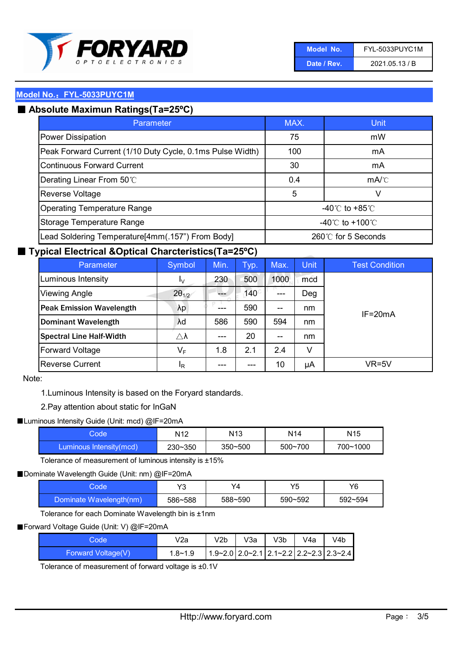

| Model No.   | <b>FYL-5033PUYC1M</b> |
|-------------|-----------------------|
| Date / Rev. | 2021.05.13 / B        |

## ■ Absolute Maximun Ratings(Ta=25°C)

| Parameter                                                 | MAX.               | Unit                                 |
|-----------------------------------------------------------|--------------------|--------------------------------------|
| <b>Power Dissipation</b>                                  | 75                 | mW                                   |
| Peak Forward Current (1/10 Duty Cycle, 0.1ms Pulse Width) | 100                | mA                                   |
| Continuous Forward Current                                | 30                 | mA                                   |
| Derating Linear From 50°C                                 | 0.4                | mA/C                                 |
| Reverse Voltage                                           | 5                  | V                                    |
| <b>Operating Temperature Range</b>                        |                    | -40 $^{\circ}$ C to +85 $^{\circ}$ C |
| Storage Temperature Range                                 | -40°C to +100°C    |                                      |
| Lead Soldering Temperature[4mm(.157") From Body]          | 260℃ for 5 Seconds |                                      |

#### ■ Typical Electrical &Optical Charcteristics(Ta=25°C)

| Parameter                       | Symbol              | Min.  | Typ.        | Max.  | <b>Unit</b> | <b>Test Condition</b> |
|---------------------------------|---------------------|-------|-------------|-------|-------------|-----------------------|
| Luminous Intensity              | Ιv                  | 230   | 500         | 1000  | mcd         |                       |
| Viewing Angle                   | $2\theta_{1/2}$     |       | $140^\circ$ | $---$ | Deg         |                       |
| <b>Peak Emission Wavelength</b> | λp                  |       | 590         | $-$   | nm          | $IF = 20mA$           |
| <b>Dominant Wavelength</b>      | λd                  | 586   | 590         | 594   | nm          |                       |
| <b>Spectral Line Half-Width</b> | $\triangle \lambda$ | $---$ | 20          | $- -$ | nm          |                       |
| <b>Forward Voltage</b>          | $V_F$               | 1.8   | 2.1         | 2.4   | v           |                       |
| <b>Reverse Current</b>          | <sup>I</sup> R      | ---   | ---         | 10    | μA          | VR=5V                 |

#### Note:

1.Luminous Intensity is based on the Foryard standards.

#### 2.Pay attention about static for InGaN

#### ■Luminous Intensity Guide (Unit: mcd) @IF=20mA

| Code                    | N <sub>12</sub> | N <sub>13</sub> | N14         | N <sub>15</sub> |
|-------------------------|-----------------|-----------------|-------------|-----------------|
| Luminous Intensity(mcd) | $230 - 350$     | $350 - 500$     | $500 - 700$ | 700~1000        |

Tolerance of measurement of luminous intensity is ±15%

#### ■Dominate Wavelength Guide (Unit: nm) @IF=20mA

| code:                   | Y3      | Y4      | VĘ      | Y6      |
|-------------------------|---------|---------|---------|---------|
| Dominate Wavelength(nm) | 586~588 | 588~590 | 590~592 | 592~594 |

Tolerance for each Dominate Wavelength bin is ±1nm

#### ■Forward Voltage Guide (Unit: V) @IF=20mA

| Code <sup>1</sup>  | V2a         | V2b | V3a | V3b | V4a | V4b                                                     |
|--------------------|-------------|-----|-----|-----|-----|---------------------------------------------------------|
| Forward Voltage(V) | $1.8 - 1.9$ |     |     |     |     | $1.9 - 2.0$ 2.0 $-2.1$ 2.1 $-2.2$ 2.2 $-2.3$ 2.3 $-2.4$ |

Tolerance of measurement of forward voltage is ±0.1V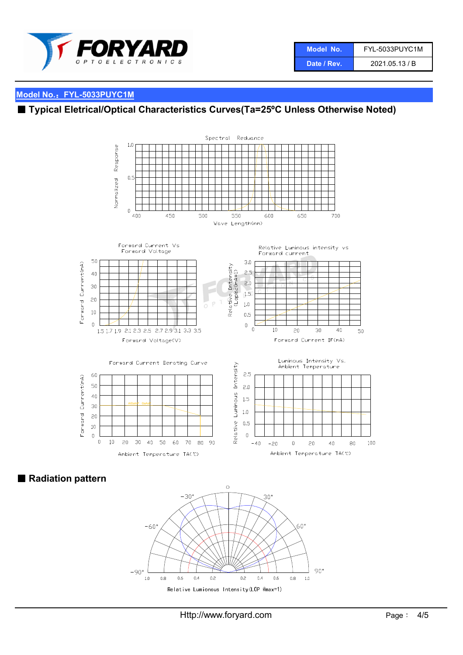

## ■ Typical Eletrical/Optical Characteristics Curves(Ta=25°C Unless Otherwise Noted)



■ Radiation pattern